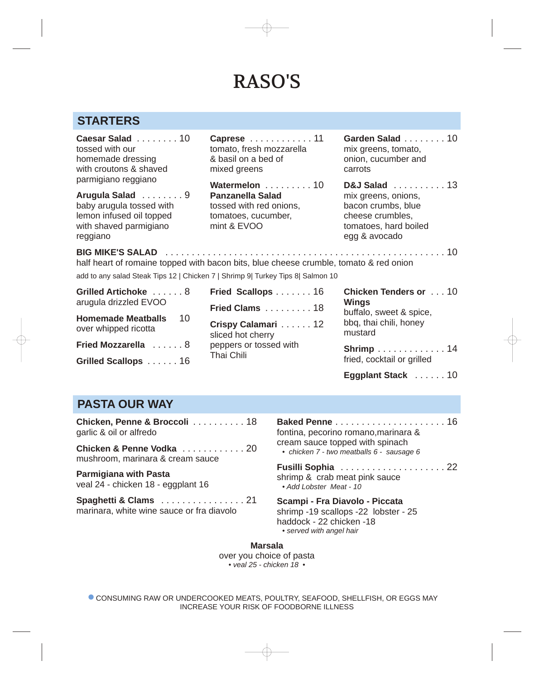# RASO'S

### **STARTERS**

**Caesar Salad** . . . . . . . . 10 tossed with our homemade dressing with croutons & shaved parmigiano reggiano

**Arugula Salad** . . . . . . . . 9 baby arugula tossed with lemon infused oil topped with shaved parmigiano reggiano

**Caprese** . . . . . . . . . . . . 11 tomato, fresh mozzarella & basil on a bed of mixed greens

**Watermelon** . . . . . . . . . 10 **Panzanella Salad** tossed with red onions, tomatoes, cucumber, mint & EVOO

**BIG MIKE'S SALAD** . . . . . . . . . . . . . . . . . . . . . . . . . . . . . . . . . . . . . . . . . . . . . . . . . . . . . 10

**Garden Salad** . . . . . . . . 10 mix greens, tomato, onion, cucumber and carrots

**D&J Salad** . . . . . . . . . . 13 mix greens, onions, bacon crumbs, blue cheese crumbles, tomatoes, hard boiled egg & avocado

half heart of romaine topped with bacon bits, blue cheese crumble, tomato & red onion

add to any salad Steak Tips 12 | Chicken 7 | Shrimp 9| Turkey Tips 8| Salmon 10

**Grilled Artichoke** . . . . . . 8 arugula drizzled EVOO **Homemade Meatballs** 10 over whipped ricotta **Fried Mozzarella** . . . . . . 8

**Grilled Scallops** . . . . . . 16

| <b>Fried Scallops</b> 16                                                               |  |
|----------------------------------------------------------------------------------------|--|
| Fried Clams 18                                                                         |  |
| Crispy Calamari 12<br>sliced hot cherry<br>peppers or tossed with<br><b>Thai Chili</b> |  |

**Fried Scallops** . . . . . . . 16 **Chicken Tenders or** . . . 10 **Wings** buffalo, sweet & spice, bbq, thai chili, honey mustard

**Shrimp** . . . . . . . . . . . . . 14 fried, cocktail or grilled

**Eggplant Stack** . . . . . . 10

## **PASTA OUR WAY**

**Chicken, Penne & Broccoli** . . . . . . . . . . 18 garlic & oil or alfredo

**Chicken & Penne Vodka** . . . . . . . . . . . . . 20 Chicken 7 - two meatballs 6 - sausage 6 mushroom, marinara & cream sauce

**Parmigiana with Pasta** veal 24 - chicken 18 - eggplant 16

**Spaghetti & Clams** . . . . . . . . . . . . . . . . 21 marinara, white wine sauce or fra diavolo

**Baked Penne** . . . . . . . . . . . . . . . . . . . . . 16 fontina, pecorino romano,marinara & cream sauce topped with spinach

**Fusilli Sophia** . . . . . . . . . . . . . . . . . . . . 22 shrimp & crab meat pink sauce *• Add Lobster Meat - 10*

**Scampi - Fra Diavolo - Piccata** shrimp -19 scallops -22 lobster - 25 haddock - 22 chicken -18 *• served with angel hair*

**Marsala** over you choice of pasta *• veal 25 - chicken 18 •*

**CONSUMING RAW OR UNDERCOOKED MEATS, POULTRY, SEAFOOD, SHELLFISH, OR EGGS MAY** INCREASE YOUR RISK OF FOODBORNE ILLNESS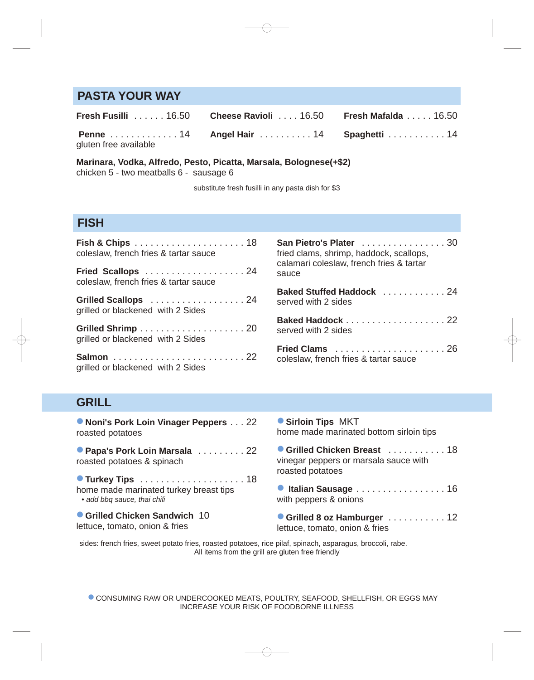#### **PASTA YOUR WAY**

|                       | <b>Fresh Fusilli</b> 16.50 <b>Cheese Ravioli</b> 16.50 <b>Fresh Mafalda</b> 16.50 |  |
|-----------------------|-----------------------------------------------------------------------------------|--|
| gluten free available | <b>Penne</b> 14 Angel Hair 14 Spaghetti 14                                        |  |

**Marinara, Vodka, Alfredo, Pesto, Picatta, Marsala, Bolognese(+\$2)** chicken 5 - two meatballs 6 - sausage 6

substitute fresh fusilli in any pasta dish for \$3

#### **FISH**

| Fish & Chips $\ldots \ldots \ldots \ldots \ldots \ldots 18$<br>coleslaw, french fries & tartar sauce | <b>San Pietro's Plater</b><br>fried clams, shrimp,<br>calamari coleslaw, f |
|------------------------------------------------------------------------------------------------------|----------------------------------------------------------------------------|
| Fried Scallops  24<br>coleslaw, french fries & tartar sauce                                          | sauce                                                                      |
| Grilled Scallops 24                                                                                  | <b>Baked Stuffed Hac</b>                                                   |
| grilled or blackened with 2 Sides                                                                    | served with 2 sides                                                        |
|                                                                                                      | <b>Baked Haddock</b>                                                       |
| grilled or blackened with 2 Sides                                                                    | served with 2 sides                                                        |
|                                                                                                      | Fried Clams                                                                |
| grilled or blackened with 2 Sides                                                                    | coleslaw, french frie                                                      |

| San Pietro's Plater 30<br>fried clams, shrimp, haddock, scallops,<br>calamari coleslaw, french fries & tartar<br>sauce |  |
|------------------------------------------------------------------------------------------------------------------------|--|
| Baked Stuffed Haddock  24<br>served with 2 sides                                                                       |  |
| Baked Haddock 22<br>served with 2 sides                                                                                |  |

**Fried Clams** . . . . . . . . . . . . . . . . . . . . . 26 coleslaw, french fries & tartar sauce

### **GRILL**

o **Noni's Pork Loin Vinager Peppers** . . . 22 roasted potatoes **Papa's Pork Loin Marsala** . . . . . . . . . 22 roasted potatoes & spinach

o **Turkey Tips** . . . . . . . . . . . . . . . . . . . . 18 home made marinated turkey breast tips *• add bbq sauce, thai chili*

o **Grilled Chicken Sandwich** <sup>10</sup> lettuce, tomato, onion & fries

o **Sirloin Tips** MKT home made marinated bottom sirloin tips

| Grilled Chicken Breast  18<br>vinegar peppers or marsala sauce with<br>roasted potatoes |  |
|-----------------------------------------------------------------------------------------|--|
| Italian Sausage 16<br>with peppers & onions                                             |  |

o **Grilled 8 oz Hamburger** . . . . . . . . . . . 12 lettuce, tomato, onion & fries

sides: french fries, sweet potato fries, roasted potatoes, rice pilaf, spinach, asparagus, broccoli, rabe. All items from the grill are gluten free friendly

**CONSUMING RAW OR UNDERCOOKED MEATS, POULTRY, SEAFOOD, SHELLFISH, OR EGGS MAY** INCREASE YOUR RISK OF FOODBORNE ILLNESS